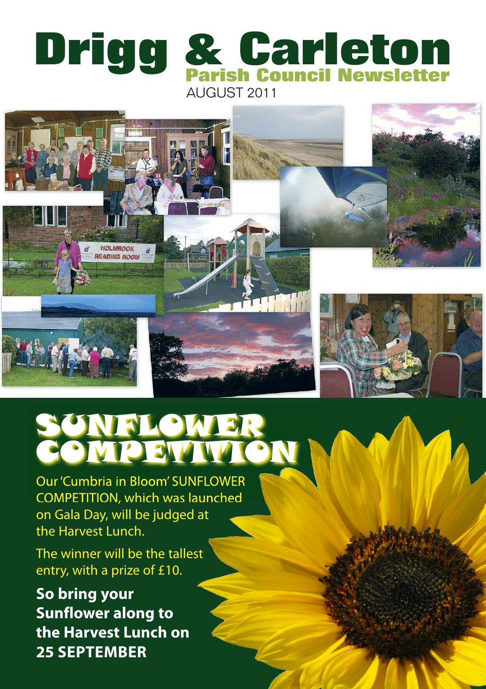





## SUNFLOWER **CIA**

Our'Cumbria in Bloom' SUNFLOWER COMPETITION, which was launched on Gala Day, will be judged at the Harvest Lunch.

The winner will be the tallest entry, with a prize of £10.

**So bring your Sunflower along to the Harvest Lunch on 25 SEPTEMBER**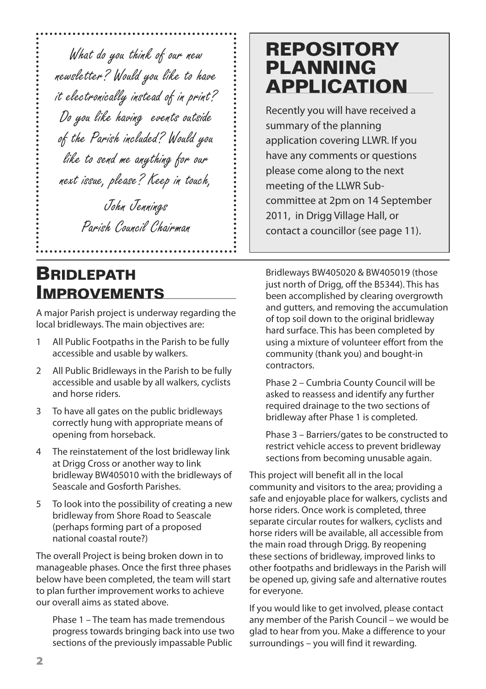What do you think of our new newsletter? Would you like to have it electronically instead of in print? Do you like having events outside of the Parish included? Would you like to send me anything for our next issue, please? Keep in touch,

> John Jennings Parish Council Chairman

#### **BRIDLEPATH IMPROVEMENTS**

A major Parish project is underway regarding the local bridleways. The main objectives are:

- 1 All Public Footpaths in the Parish to be fully accessible and usable by walkers.
- 2 All Public Bridleways in the Parish to be fully accessible and usable by all walkers, cyclists and horse riders.
- 3 To have all gates on the public bridleways correctly hung with appropriate means of opening from horseback.
- 4 The reinstatement of the lost bridleway link at Drigg Cross or another way to link bridleway BW405010 with the bridleways of Seascale and Gosforth Parishes.
- 5 To look into the possibility of creating a new bridleway from Shore Road to Seascale (perhaps forming part of a proposed national coastal route?)

The overall Project is being broken down in to manageable phases. Once the first three phases below have been completed, the team will start to plan further improvement works to achieve our overall aims as stated above.

Phase 1 – The team has made tremendous progress towards bringing back into use two sections of the previously impassable Public

## **REPOSITORY PLANNING APPLICATION**

Recently you will have received a summary of the planning application covering LLWR. If you have any comments or questions please come along to the next meeting of the LLWR Subcommittee at 2pm on 14 September 2011, in Drigg Village Hall, or contact a councillor (see page 11).

Bridleways BW405020 & BW405019 (those just north of Drigg, off the B5344). This has been accomplished by clearing overgrowth and gutters, and removing the accumulation of top soil down to the original bridleway hard surface. This has been completed by using a mixture of volunteer effort from the community (thank you) and bought-in contractors.

Phase 2 – Cumbria County Council will be asked to reassess and identify any further required drainage to the two sections of bridleway after Phase 1 is completed.

Phase 3 – Barriers/gates to be constructed to restrict vehicle access to prevent bridleway sections from becoming unusable again.

This project will benefit all in the local community and visitors to the area; providing a safe and enjoyable place for walkers, cyclists and horse riders. Once work is completed, three separate circular routes for walkers, cyclists and horse riders will be available, all accessible from the main road through Drigg. By reopening these sections of bridleway, improved links to other footpaths and bridleways in the Parish will be opened up, giving safe and alternative routes for everyone.

If you would like to get involved, please contact any member of the Parish Council – we would be glad to hear from you. Make a difference to your surroundings – you will find it rewarding.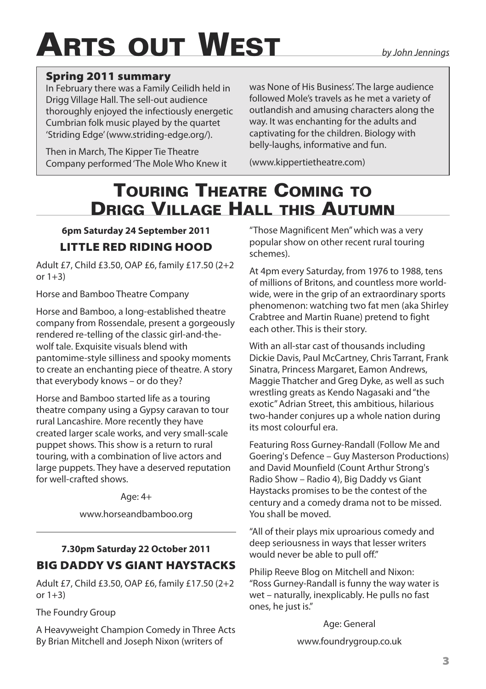# **ARTS OUT WEST** *by John Jennings*

#### **Spring 2011 summary**

In February there was a Family Ceilidh held in Drigg Village Hall. The sell-out audience thoroughly enjoyed the infectiously energetic Cumbrian folk music played by the quartet 'Striding Edge'(www.striding-edge.org/).

Then in March, The Kipper Tie Theatre Company performed'The Mole Who Knew it

was None of His Business'. The large audience followed Mole's travels as he met a variety of outlandish and amusing characters along the way. It was enchanting for the adults and captivating for the children. Biology with belly-laughs, informative and fun.

(www.kippertietheatre.com)

## **TOURING THEATRE COMING TO DRIGG VILLAGE HALL THIS AUTUMN**

#### **6pm Saturday 24 September 2011 LITTLE RED RIDING HOOD**

Adult £7, Child £3.50, OAP £6, family £17.50 (2+2 or  $1+3$ )

Horse and Bamboo Theatre Company

Horse and Bamboo, a long-established theatre company from Rossendale, present a gorgeously rendered re-telling of the classic girl-and-thewolf tale. Exquisite visuals blend with pantomime-style silliness and spooky moments to create an enchanting piece of theatre. A story that everybody knows – or do they?

Horse and Bamboo started life as a touring theatre company using a Gypsy caravan to tour rural Lancashire. More recently they have created larger scale works, and very small-scale puppet shows. This show is a return to rural touring, with a combination of live actors and large puppets. They have a deserved reputation for well-crafted shows.

Age:  $4+$ 

www.horseandbamboo.org

#### **7.30pm Saturday 22 October 2011 BIG DADDY VS GIANT HAYSTACKS**

Adult £7, Child £3.50, OAP £6, family £17.50 (2+2 or  $1+3$ )

The Foundry Group

A Heavyweight Champion Comedy in Three Acts By Brian Mitchell and Joseph Nixon (writers of

"Those Magnificent Men"which was a very popular show on other recent rural touring schemes).

At 4pm every Saturday, from 1976 to 1988, tens of millions of Britons, and countless more worldwide, were in the grip of an extraordinary sports phenomenon: watching two fat men (aka Shirley Crabtree and Martin Ruane) pretend to fight each other. This is their story.

With an all-star cast of thousands including Dickie Davis, Paul McCartney, Chris Tarrant, Frank Sinatra, Princess Margaret, Eamon Andrews, Maggie Thatcher and Greg Dyke, as well as such wrestling greats as Kendo Nagasaki and"the exotic"Adrian Street, this ambitious, hilarious two-hander conjures up a whole nation during its most colourful era.

Featuring Ross Gurney-Randall (Follow Me and Goering's Defence – Guy Masterson Productions) and David Mounfield (Count Arthur Strong's Radio Show – Radio 4), Big Daddy vs Giant Haystacks promises to be the contest of the century and a comedy drama not to be missed. You shall be moved.

"All of their plays mix uproarious comedy and deep seriousness in ways that lesser writers would never be able to pull off."

Philip Reeve Blog on Mitchell and Nixon: "Ross Gurney-Randall is funny the way water is wet – naturally, inexplicably. He pulls no fast ones, he just is."

Age: General

www.foundrygroup.co.uk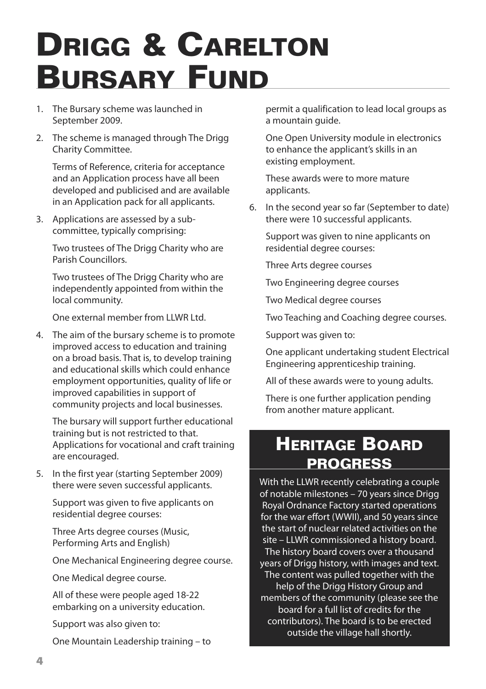# **DRIGG & CARELTON BURSARY FUND**

- 1. The Bursary scheme was launched in September 2009.
- 2. The scheme is managed through The Drigg Charity Committee.

Terms of Reference, criteria for acceptance and an Application process have all been developed and publicised and are available in an Application pack for all applicants.

3. Applications are assessed by a subcommittee, typically comprising:

Two trustees of The Drigg Charity who are Parish Councillors.

Two trustees of The Drigg Charity who are independently appointed from within the local community.

One external member from LLWR Ltd.

4. The aim of the bursary scheme is to promote improved access to education and training on a broad basis. That is, to develop training and educational skills which could enhance employment opportunities, quality of life or improved capabilities in support of community projects and local businesses.

The bursary will support further educational training but is not restricted to that. Applications for vocational and craft training are encouraged.

5. In the first year (starting September 2009) there were seven successful applicants.

Support was given to five applicants on residential degree courses:

Three Arts degree courses (Music, Performing Arts and English)

One Mechanical Engineering degree course.

One Medical degree course.

All of these were people aged 18-22 embarking on a university education.

Support was also given to:

One Mountain Leadership training – to

permit a qualification to lead local groups as a mountain guide.

One Open University module in electronics to enhance the applicant's skills in an existing employment.

These awards were to more mature applicants.

6. In the second year so far (September to date) there were 10 successful applicants.

Support was given to nine applicants on residential degree courses:

Three Arts degree courses

Two Engineering degree courses

Two Medical degree courses

Two Teaching and Coaching degree courses.

Support was given to:

One applicant undertaking student Electrical Engineering apprenticeship training.

All of these awards were to young adults.

There is one further application pending from another mature applicant.

### **HERITAGE BOARD PROGRESS**

With the LLWR recently celebrating a couple of notable milestones – 70 years since Drigg Royal Ordnance Factory started operations for the war effort (WWII), and 50 years since the start of nuclear related activities on the site – LLWR commissioned a history board. The history board covers over a thousand years of Drigg history, with images and text. The content was pulled together with the help of the Drigg History Group and members of the community (please see the board for a full list of credits for the contributors). The board is to be erected outside the village hall shortly.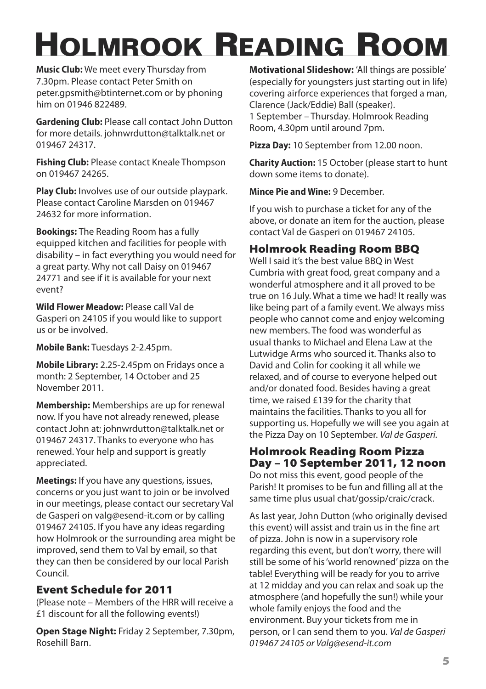# **HOLMROOK READING ROOM**

**Music Club:** We meet every Thursday from 7.30pm. Please contact Peter Smith on peter.gpsmith@btinternet.com or by phoning him on 01946 822489.

**Gardening Club:** Please call contact John Dutton for more details. johnwrdutton@talktalk.net or 019467 24317.

**Fishing Club:** Please contact Kneale Thompson on 019467 24265.

**Play Club:** Involves use of our outside playpark. Please contact Caroline Marsden on 019467 24632 for more information.

**Bookings:** The Reading Room has a fully equipped kitchen and facilities for people with disability – in fact everything you would need for a great party. Why not call Daisy on 019467 24771 and see if it is available for your next event?

**Wild Flower Meadow:** Please call Val de Gasperi on 24105 if you would like to support us or be involved.

**Mobile Bank:** Tuesdays 2-2.45pm.

**Mobile Library:** 2.25-2.45pm on Fridays once a month: 2 September, 14 October and 25 November 2011.

**Membership:** Memberships are up for renewal now. If you have not already renewed, please contact John at: johnwrdutton@talktalk.net or 019467 24317. Thanks to everyone who has renewed. Your help and support is greatly appreciated.

**Meetings:** If you have any questions, issues, concerns or you just want to join or be involved in our meetings, please contact our secretary Val de Gasperi on valg@esend-it.com or by calling 019467 24105. If you have any ideas regarding how Holmrook or the surrounding area might be improved, send them to Val by email, so that they can then be considered by our local Parish Council.

#### **Event Schedule for 2011**

(Please note – Members of the HRR will receive a £1 discount for all the following events!)

**Open Stage Night:** Friday 2 September, 7.30pm, Rosehill Barn.

**Motivational Slideshow:** 'All things are possible' (especially for youngsters just starting out in life) covering airforce experiences that forged a man, Clarence (Jack/Eddie) Ball (speaker). 1 September – Thursday. Holmrook Reading

Room, 4.30pm until around 7pm.

**Pizza Day:** 10 September from 12.00 noon.

**Charity Auction:** 15 October (please start to hunt down some items to donate).

**Mince Pie and Wine:** 9 December.

If you wish to purchase a ticket for any of the above, or donate an item for the auction, please contact Val de Gasperi on 019467 24105.

#### **Holmrook Reading Room BBQ**

Well I said it's the best value BBQ in West Cumbria with great food, great company and a wonderful atmosphere and it all proved to be true on 16 July. What a time we had! It really was like being part of a family event. We always miss people who cannot come and enjoy welcoming new members. The food was wonderful as usual thanks to Michael and Elena Law at the Lutwidge Arms who sourced it. Thanks also to David and Colin for cooking it all while we relaxed, and of course to everyone helped out and/or donated food. Besides having a great time, we raised £139 for the charity that maintains the facilities. Thanks to you all for supporting us. Hopefully we will see you again at the Pizza Day on 10 September. *Val de Gasperi.*

#### **Holmrook Reading Room Pizza Day – 10 September 2011, 12 noon**

Do not miss this event, good people of the Parish! It promises to be fun and filling all at the same time plus usual chat/gossip/craic/crack.

As last year, John Dutton (who originally devised this event) will assist and train us in the fine art of pizza. John is now in a supervisory role regarding this event, but don't worry, there will still be some of his'world renowned'pizza on the table! Everything will be ready for you to arrive at 12 midday and you can relax and soak up the atmosphere (and hopefully the sun!) while your whole family enjoys the food and the environment. Buy your tickets from me in person, or I can send them to you. *Val de Gasperi 019467 24105 or Valg@esend-it.com*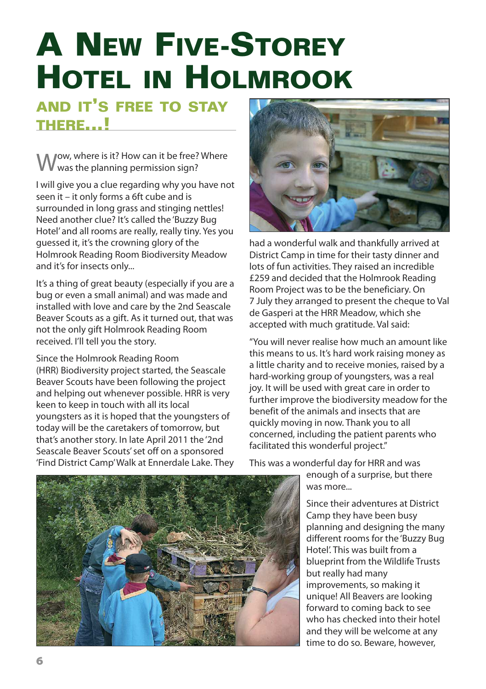# **A NEW FIVE-STOREY HOTEL IN HOLMROOK**

#### **AND IT'S FREE TO STAY THERE...!**

ow, where is it? How can it be free? Where was the planning permission sign?

I will give you a clue regarding why you have not seen it – it only forms a 6ft cube and is surrounded in long grass and stinging nettles! Need another clue? It's called the 'Buzzy Bug Hotel' and all rooms are really, really tiny. Yes you guessed it, it's the crowning glory of the Holmrook Reading Room Biodiversity Meadow and it's for insects only...

It's a thing of great beauty (especially if you are a bug or even a small animal) and was made and installed with love and care by the 2nd Seascale Beaver Scouts as a gift. As it turned out, that was not the only gift Holmrook Reading Room received. I'll tell you the story.

Since the Holmrook Reading Room (HRR) Biodiversity project started, the Seascale Beaver Scouts have been following the project and helping out whenever possible. HRR is very keen to keep in touch with all its local youngsters as it is hoped that the youngsters of today will be the caretakers of tomorrow, but that's another story. In late April 2011 the '2nd Seascale Beaver Scouts' set off on a sponsored 'Find District Camp'Walk at Ennerdale Lake. They



had a wonderful walk and thankfully arrived at District Camp in time for their tasty dinner and lots of fun activities. They raised an incredible £259 and decided that the Holmrook Reading Room Project was to be the beneficiary. On 7 July they arranged to present the cheque to Val de Gasperi at the HRR Meadow, which she accepted with much gratitude. Val said:

"You will never realise how much an amount like this means to us. It's hard work raising money as a little charity and to receive monies, raised by a hard-working group of youngsters, was a real joy. It will be used with great care in order to further improve the biodiversity meadow for the benefit of the animals and insects that are quickly moving in now. Thank you to all concerned, including the patient parents who facilitated this wonderful project."



This was a wonderful day for HRR and was

enough of a surprise, but there was more.

Since their adventures at District Camp they have been busy planning and designing the many different rooms for the 'Buzzy Bug Hotel'. This was built from a blueprint from the Wildlife Trusts but really had many improvements, so making it unique! All Beavers are looking forward to coming back to see who has checked into their hotel and they will be welcome at any time to do so. Beware, however,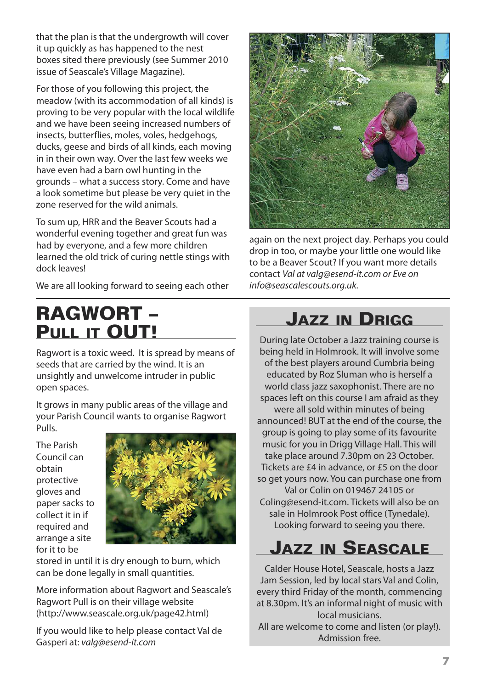that the plan is that the undergrowth will cover it up quickly as has happened to the nest boxes sited there previously (see Summer 2010 issue of Seascale's Village Magazine).

For those of you following this project, the meadow (with its accommodation of all kinds) is proving to be very popular with the local wildlife and we have been seeing increased numbers of insects, butterflies, moles, voles, hedgehogs, ducks, geese and birds of all kinds, each moving in in their own way. Over the last few weeks we have even had a barn owl hunting in the grounds – what a success story. Come and have a look sometime but please be very quiet in the zone reserved for the wild animals.

To sum up, HRR and the Beaver Scouts had a wonderful evening together and great fun was had by everyone, and a few more children learned the old trick of curing nettle stings with dock leaves!

We are all looking forward to seeing each other

## **RAGWORT – PULL IT OUT!**

Ragwort is a toxic weed. It is spread by means of seeds that are carried by the wind. It is an unsightly and unwelcome intruder in public open spaces.

It grows in many public areas of the village and your Parish Council wants to organise Ragwort Pulls.

The Parish Council can obtain protective gloves and paper sacks to collect it in if required and arrange a site for it to be



stored in until it is dry enough to burn, which can be done legally in small quantities.

More information about Ragwort and Seascale's Ragwort Pull is on their village website (http://www.seascale.org.uk/page42.html)

If you would like to help please contact Val de Gasperi at: *valg@esend-it.com*



again on the next project day. Perhaps you could drop in too, or maybe your little one would like to be a Beaver Scout? If you want more details contact *Val at valg@esend-it.com or Eve on info@seascalescouts.org.uk.*

## **JAZZ IN DRIGG**

During late October a Jazz training course is being held in Holmrook. It will involve some of the best players around Cumbria being educated by Roz Sluman who is herself a world class jazz saxophonist. There are no spaces left on this course I am afraid as they were all sold within minutes of being announced! BUT at the end of the course, the group is going to play some of its favourite music for you in Drigg Village Hall. This will take place around 7.30pm on 23 October. Tickets are £4 in advance, or £5 on the door so get yours now. You can purchase one from Val or Colin on 019467 24105 or Coling@esend-it.com. Tickets will also be on sale in Holmrook Post office (Tynedale). Looking forward to seeing you there.

## **JAZZ IN SEASCALE**

Calder House Hotel, Seascale, hosts a Jazz Jam Session, led by local stars Val and Colin, every third Friday of the month, commencing at 8.30pm. It's an informal night of music with local musicians.

All are welcome to come and listen (or play!). Admission free.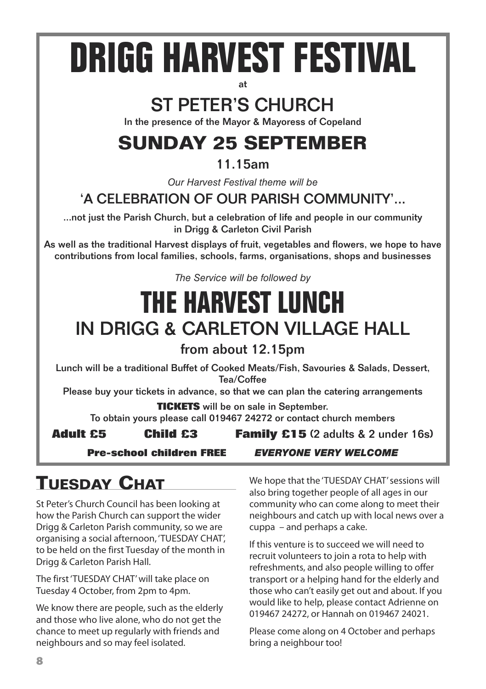# **DRIGG HARVEST FESTIVAL**

## ST PETER'S CHURCH

In the presence of the Mayor & Mayoress of Copeland

## **SUNDAY 25 SEPTEMBER**

#### 11.15am

*Our Harvest Festival theme will be*

#### 'A CELEBRATION OF OUR PARISH COMMUNITY'...

...not just the Parish Church, but a celebration of life and people in our community in Drigg & Carleton Civil Parish

As well as the traditional Harvest displays of fruit, vegetables and flowers, we hope to have contributions from local families, schools, farms, organisations, shops and businesses

*The Service will be followed by*

## **THE HARVEST LUNCH** IN DRIGG & CARLETON VILLAGE HALL

from about 12.15pm

Lunch will be a traditional Buffet of Cooked Meats/Fish, Savouries & Salads, Dessert, Tea/Coffee

Please buy your tickets in advance, so that we can plan the catering arrangements

**TICKETS** will be on sale in September.

To obtain yours please call 019467 24272 or contact church members

**Adult £5 Child £3 Family £15** (2 adults & 2 under 16s)

**Pre-school children FREE** *EVERYONE VERY WELCOME*

## **TUESDAY CHAT**

St Peter's Church Council has been looking at how the Parish Church can support the wider Drigg & Carleton Parish community, so we are organising a social afternoon, 'TUESDAY CHAT', to be held on the first Tuesday of the month in Drigg & Carleton Parish Hall.

The first'TUESDAY CHAT'will take place on Tuesday 4 October, from 2pm to 4pm.

We know there are people, such as the elderly and those who live alone, who do not get the chance to meet up regularly with friends and neighbours and so may feel isolated.

We hope that the 'TUESDAY CHAT' sessions will also bring together people of all ages in our community who can come along to meet their neighbours and catch up with local news over a cuppa – and perhaps a cake.

If this venture is to succeed we will need to recruit volunteers to join a rota to help with refreshments, and also people willing to offer transport or a helping hand for the elderly and those who can't easily get out and about. If you would like to help, please contact Adrienne on 019467 24272, or Hannah on 019467 24021.

Please come along on 4 October and perhaps bring a neighbour too!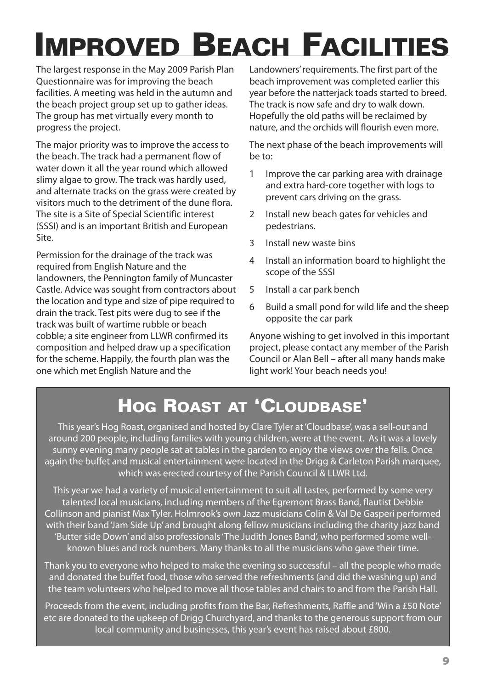# **IMPROVED BEACH FACILITIES**

The largest response in the May 2009 Parish Plan Questionnaire was for improving the beach facilities. A meeting was held in the autumn and the beach project group set up to gather ideas. The group has met virtually every month to progress the project.

The major priority was to improve the access to the beach. The track had a permanent flow of water down it all the year round which allowed slimy algae to grow. The track was hardly used, and alternate tracks on the grass were created by visitors much to the detriment of the dune flora. The site is a Site of Special Scientific interest (SSSI) and is an important British and European Site.

Permission for the drainage of the track was required from English Nature and the landowners, the Pennington family of Muncaster Castle. Advice was sought from contractors about the location and type and size of pipe required to drain the track. Test pits were dug to see if the track was built of wartime rubble or beach cobble; a site engineer from LLWR confirmed its composition and helped draw up a specification for the scheme. Happily, the fourth plan was the one which met English Nature and the

Landowners'requirements. The first part of the beach improvement was completed earlier this year before the natterjack toads started to breed. The track is now safe and dry to walk down. Hopefully the old paths will be reclaimed by nature, and the orchids will flourish even more.

The next phase of the beach improvements will be to:

- 1 Improve the car parking area with drainage and extra hard-core together with logs to prevent cars driving on the grass.
- 2 Install new beach gates for vehicles and pedestrians.
- 3 Install new waste bins
- 4 Install an information board to highlight the scope of the SSSI
- 5 Install a car park bench
- 6 Build a small pond for wild life and the sheep opposite the car park

Anyone wishing to get involved in this important project, please contact any member of the Parish Council or Alan Bell – after all many hands make light work! Your beach needs you!

## **HOG ROAST AT 'CLOUDBASE'**

This year's Hog Roast, organised and hosted by Clare Tyler at'Cloudbase', was a sell-out and around 200 people, including families with young children, were at the event. As it was a lovely sunny evening many people sat at tables in the garden to enjoy the views over the fells. Once again the buffet and musical entertainment were located in the Drigg & Carleton Parish marquee, which was erected courtesy of the Parish Council & LLWR Ltd.

This year we had a variety of musical entertainment to suit all tastes, performed by some very talented local musicians, including members of the Egremont Brass Band, flautist Debbie Collinson and pianist Max Tyler. Holmrook's own Jazz musicians Colin & Val De Gasperi performed with their band'Jam Side Up' and brought along fellow musicians including the charity jazz band 'Butter side Down' and also professionals'The Judith Jones Band', who performed some wellknown blues and rock numbers. Many thanks to all the musicians who gave their time.

Thank you to everyone who helped to make the evening so successful – all the people who made and donated the buffet food, those who served the refreshments (and did the washing up) and the team volunteers who helped to move all those tables and chairs to and from the Parish Hall.

Proceeds from the event, including profits from the Bar, Refreshments, Raffle and'Win a £50 Note' etc are donated to the upkeep of Drigg Churchyard, and thanks to the generous support from our local community and businesses, this year's event has raised about £800.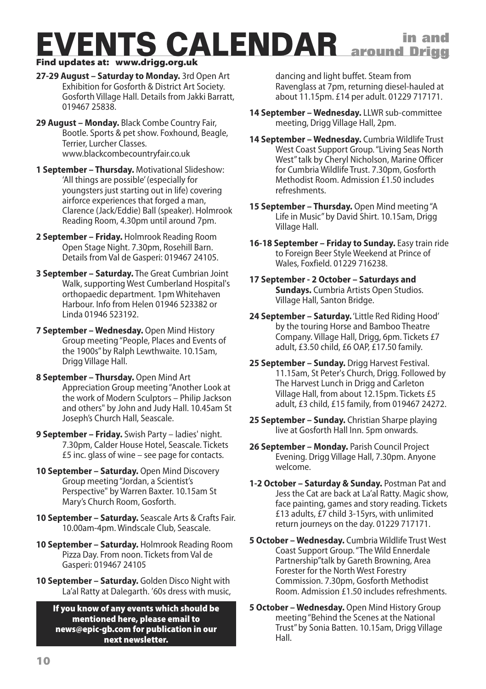#### **EVENTS CALENDAR in and Find updates at: www.drigg.org.uk around Drigg**

- **27-29 August – Saturday to Monday.** 3rd Open Art Exhibition for Gosforth & District Art Society.
	- Gosforth Village Hall. Details from Jakki Barratt, 019467 25838.
- **29 August – Monday.** Black Combe Country Fair, Bootle. Sports & pet show. Foxhound, Beagle, Terrier, Lurcher Classes. www.blackcombecountryfair.co.uk
- **1 September – Thursday.** Motivational Slideshow: 'All things are possible'(especially for youngsters just starting out in life) covering airforce experiences that forged a man, Clarence (Jack/Eddie) Ball (speaker). Holmrook Reading Room, 4.30pm until around 7pm.
- **2 September – Friday.** Holmrook Reading Room Open Stage Night. 7.30pm, Rosehill Barn. Details from Val de Gasperi: 019467 24105.
- **3 September – Saturday.** The Great Cumbrian Joint Walk, supporting West Cumberland Hospital's orthopaedic department. 1pm Whitehaven Harbour. Info from Helen 01946 523382 or Linda 01946 523192.
- **7 September – Wednesday.** Open Mind History Group meeting"People, Places and Events of the 1900s"by Ralph Lewthwaite. 10.15am, Drigg Village Hall.
- **8 September – Thursday.** Open Mind Art Appreciation Group meeting"Another Look at the work of Modern Sculptors – Philip Jackson and others" by John and Judy Hall. 10.45am St Joseph's Church Hall, Seascale.
- **9 September – Friday.** Swish Party ladies' night. 7.30pm, Calder House Hotel, Seascale. Tickets £5 inc. glass of wine – see page for contacts.
- **10 September – Saturday.** Open Mind Discovery Group meeting"Jordan, a Scientist's Perspective" by Warren Baxter. 10.15am St Mary's Church Room, Gosforth.
- **10 September – Saturday.** Seascale Arts & Crafts Fair. 10.00am-4pm. Windscale Club, Seascale.
- **10 September – Saturday.** Holmrook Reading Room Pizza Day. From noon. Tickets from Val de Gasperi: 019467 24105
- **10 September – Saturday.** Golden Disco Night with La'al Ratty at Dalegarth. '60s dress with music,

#### **If you know of any events which should be mentioned here, please email to news@epic-gb.com for publication in our next newsletter.**

dancing and light buffet. Steam from Ravenglass at 7pm, returning diesel-hauled at about 11.15pm. £14 per adult. 01229 717171.

- **14 September – Wednesday.** LLWR sub-committee meeting, Drigg Village Hall, 2pm.
- **14 September – Wednesday.** Cumbria Wildlife Trust West Coast Support Group."Living Seas North West"talk by Cheryl Nicholson, Marine Officer for Cumbria Wildlife Trust. 7.30pm, Gosforth Methodist Room. Admission £1.50 includes refreshments.
- **15 September – Thursday.** Open Mind meeting"A Life in Music"by David Shirt. 10.15am, Drigg Village Hall.
- **16-18 September – Friday to Sunday.** Easy train ride to Foreign Beer Style Weekend at Prince of Wales, Foxfield. 01229 716238.
- **17 September - 2 October – Saturdays and Sundays.** Cumbria Artists Open Studios. Village Hall, Santon Bridge.
- **24 September – Saturday.**'Little Red Riding Hood' by the touring Horse and Bamboo Theatre Company. Village Hall, Drigg, 6pm. Tickets £7 adult, £3.50 child, £6 OAP, £17.50 family.
- **25 September – Sunday.** Drigg Harvest Festival. 11.15am, St Peter's Church, Drigg. Followed by The Harvest Lunch in Drigg and Carleton Village Hall, from about 12.15pm. Tickets £5 adult, £3 child, £15 family, from 019467 24272.
- **25 September – Sunday.** Christian Sharpe playing live at Gosforth Hall Inn. 5pm onwards.
- **26 September – Monday.** Parish Council Project Evening. Drigg Village Hall, 7.30pm. Anyone welcome.
- **1-2 October – Saturday & Sunday.** Postman Pat and Jess the Cat are back at La'al Ratty. Magic show, face painting, games and story reading. Tickets £13 adults, £7 child 3-15yrs, with unlimited return journeys on the day. 01229 717171.
- **5 October – Wednesday.** Cumbria Wildlife Trust West Coast Support Group."The Wild Ennerdale Partnership"talk by Gareth Browning, Area Forester for the North West Forestry Commission. 7.30pm, Gosforth Methodist Room. Admission £1.50 includes refreshments.
- **5 October – Wednesday.** Open Mind History Group meeting"Behind the Scenes at the National Trust"by Sonia Batten. 10.15am, Drigg Village Hall.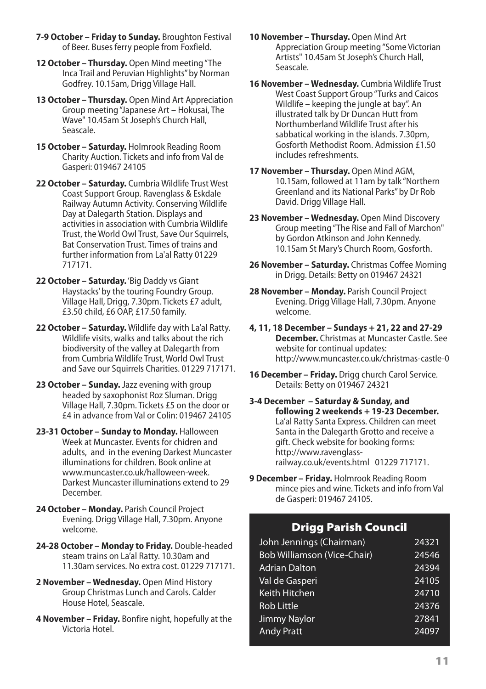- **7-9 October – Friday to Sunday.** Broughton Festival of Beer. Buses ferry people from Foxfield.
- **12 October – Thursday.** Open Mind meeting"The Inca Trail and Peruvian Highlights"by Norman Godfrey. 10.15am, Drigg Village Hall.
- **13 October – Thursday.** Open Mind Art Appreciation Group meeting"Japanese Art – Hokusai, The Wave" 10.45am St Joseph's Church Hall, Seascale.
- **15 October – Saturday.** Holmrook Reading Room Charity Auction. Tickets and info from Val de Gasperi: 019467 24105
- **22 October – Saturday.** Cumbria Wildlife Trust West Coast Support Group. Ravenglass & Eskdale Railway Autumn Activity. Conserving Wildlife Day at Dalegarth Station. Displays and activities in association with Cumbria Wildlife Trust, the World Owl Trust, Save Our Squirrels, Bat Conservation Trust. Times of trains and further information from La'al Ratty 01229 717171.
- **22 October – Saturday.**'Big Daddy vs Giant Haystacks'by the touring Foundry Group. Village Hall, Drigg, 7.30pm. Tickets £7 adult, £3.50 child, £6 OAP, £17.50 family.
- **22 October – Saturday.** Wildlife day with La'al Ratty. Wildlife visits, walks and talks about the rich biodiversity of the valley at Dalegarth from from Cumbria Wildlife Trust, World Owl Trust and Save our Squirrels Charities. 01229 717171.
- **23 October – Sunday.** Jazz evening with group headed by saxophonist Roz Sluman. Drigg Village Hall, 7.30pm. Tickets £5 on the door or £4 in advance from Val or Colin: 019467 24105
- **23-31 October – Sunday to Monday.** Halloween Week at Muncaster. Events for chidren and adults, and in the evening Darkest Muncaster illuminations for children. Book online at www.muncaster.co.uk/halloween-week Darkest Muncaster illuminations extend to 29 December.
- **24 October – Monday.** Parish Council Project Evening. Drigg Village Hall, 7.30pm. Anyone welcome.
- **24-28 October – Monday to Friday.** Double-headed steam trains on La'al Ratty. 10.30am and 11.30am services. No extra cost. 01229 717171.
- **2 November – Wednesday.** Open Mind History Group Christmas Lunch and Carols. Calder House Hotel, Seascale.
- **4 November – Friday.** Bonfire night, hopefully at the Victoria Hotel.
- **10 November – Thursday.** Open Mind Art Appreciation Group meeting"Some Victorian Artists" 10.45am St Joseph's Church Hall, Seascale.
- **16 November – Wednesday.** Cumbria Wildlife Trust West Coast Support Group"Turks and Caicos Wildlife – keeping the jungle at bay". An illustrated talk by Dr Duncan Hutt from Northumberland Wildlife Trust after his sabbatical working in the islands. 7.30pm, Gosforth Methodist Room. Admission £1.50 includes refreshments.
- **17 November – Thursday.** Open Mind AGM, 10.15am, followed at 11am by talk "Northern Greenland and its National Parks"by Dr Rob David. Drigg Village Hall.
- **23 November – Wednesday.** Open Mind Discovery Group meeting"The Rise and Fall of Marchon" by Gordon Atkinson and John Kennedy. 10.15am St Mary's Church Room, Gosforth.
- **26 November – Saturday.** Christmas Coffee Morning in Drigg. Details: Betty on 019467 24321
- **28 November – Monday.** Parish Council Project Evening. Drigg Village Hall, 7.30pm. Anyone welcome.
- **4, 11, 18 December – Sundays + 21, 22 and 27-29 December.** Christmas at Muncaster Castle. See website for continual updates: http://www.muncaster.co.uk/christmas-castle-0
- **16 December – Friday.** Drigg church Carol Service. Details: Betty on 019467 24321
- **3-4 December – Saturday & Sunday, and following 2 weekends + 19-23 December.** La'al Ratty Santa Express. Children can meet Santa in the Dalegarth Grotto and receive a gift. Check website for booking forms: http://www.ravenglassrailway.co.uk/events.html 01229 717171.
- **9 December – Friday.** Holmrook Reading Room mince pies and wine. Tickets and info from Val de Gasperi: 019467 24105.

#### **Drigg Parish Council**

| John Jennings (Chairman)    | 24321 |
|-----------------------------|-------|
| Bob Williamson (Vice-Chair) | 24546 |
| <b>Adrian Dalton</b>        | 24394 |
| Val de Gasperi              | 24105 |
| Keith Hitchen               | 24710 |
| <b>Rob Little</b>           | 24376 |
| Jimmy Naylor                | 27841 |
| <b>Andy Pratt</b>           | 24097 |
|                             |       |